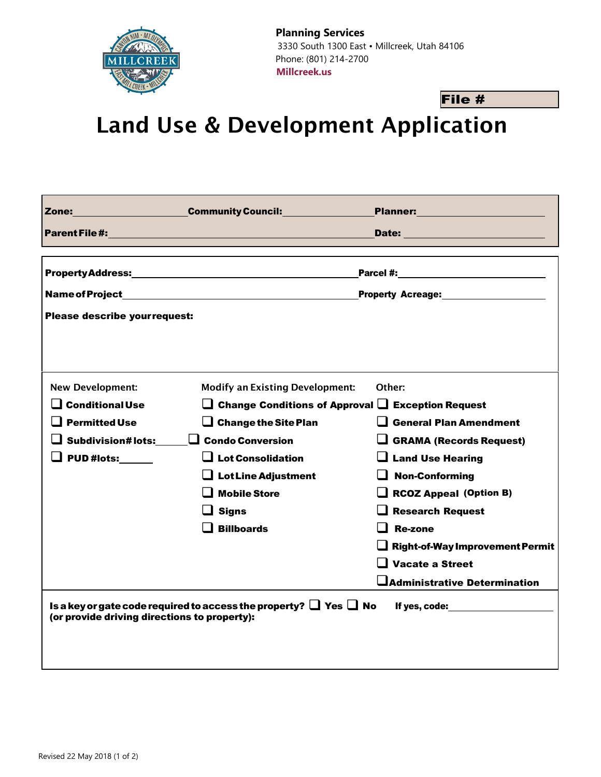

**Planning Services** 3330 South 1300 East • Millcreek, Utah 84106 Phone: (801) 214-2700 **Millcreek.us**

## File #

Land Use & Development Application

|                                              | <b>Zone:</b> Community Council: Community Council:                          | Planner: _______________________            |  |  |
|----------------------------------------------|-----------------------------------------------------------------------------|---------------------------------------------|--|--|
|                                              | Parent File #: University of the American Section 1999                      |                                             |  |  |
|                                              |                                                                             |                                             |  |  |
|                                              |                                                                             |                                             |  |  |
|                                              | <b>Property Acreage:</b>                                                    |                                             |  |  |
| Please describe yourrequest:                 |                                                                             |                                             |  |  |
|                                              |                                                                             |                                             |  |  |
|                                              |                                                                             |                                             |  |  |
|                                              |                                                                             |                                             |  |  |
| <b>New Development:</b>                      | <b>Modify an Existing Development:</b>                                      | Other:                                      |  |  |
| <b>Conditional Use</b>                       | $\Box$ Change Conditions of Approval $\Box$                                 | <b>Exception Request</b>                    |  |  |
| <b>Permitted Use</b>                         | $\Box$ Change the Site Plan                                                 | <b>General Plan Amendment</b>               |  |  |
| $\Box$ Subdivision#lots:                     | $\Box$ Condo Conversion                                                     | <b>GRAMA (Records Request)</b>              |  |  |
| $\Box$ PUD #lots: ______                     | $\Box$ Lot Consolidation                                                    | <b>Land Use Hearing</b>                     |  |  |
|                                              | $\Box$ Lot Line Adjustment                                                  | <b>Non-Conforming</b>                       |  |  |
|                                              | <b>Mobile Store</b>                                                         | <b>RCOZ Appeal (Option B)</b>               |  |  |
|                                              | <b>Signs</b>                                                                | <b>Research Request</b>                     |  |  |
|                                              | <b>Billboards</b>                                                           | <b>Re-zone</b>                              |  |  |
|                                              |                                                                             | <b>Right-of-Way Improvement Permit</b>      |  |  |
|                                              |                                                                             | <b>Vacate a Street</b>                      |  |  |
|                                              |                                                                             | $\blacksquare$ Administrative Determination |  |  |
|                                              | Is a key or gate code required to access the property? $\Box$ Yes $\Box$ No |                                             |  |  |
| (or provide driving directions to property): |                                                                             |                                             |  |  |
|                                              |                                                                             |                                             |  |  |
|                                              |                                                                             |                                             |  |  |
|                                              |                                                                             |                                             |  |  |